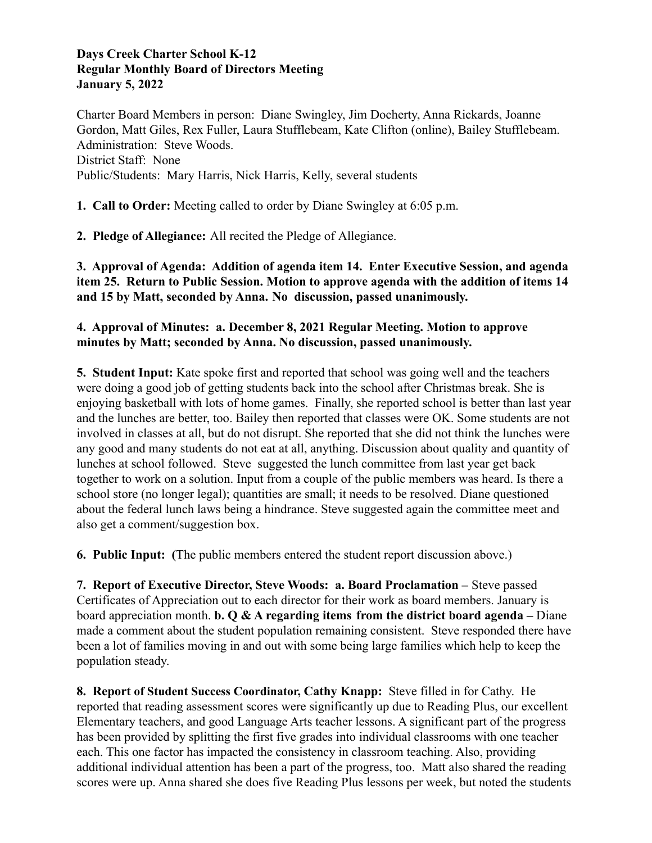#### **Days Creek Charter School K-12 Regular Monthly Board of Directors Meeting January 5, 2022**

Charter Board Members in person: Diane Swingley, Jim Docherty, Anna Rickards, Joanne Gordon, Matt Giles, Rex Fuller, Laura Stufflebeam, Kate Clifton (online), Bailey Stufflebeam. Administration: Steve Woods. District Staff: None Public/Students: Mary Harris, Nick Harris, Kelly, several students

**1. Call to Order:** Meeting called to order by Diane Swingley at 6:05 p.m.

**2. Pledge of Allegiance:** All recited the Pledge of Allegiance.

**3. Approval of Agenda: Addition of agenda item 14. Enter Executive Session, and agenda item 25. Return to Public Session. Motion to approve agenda with the addition of items 14 and 15 by Matt, seconded by Anna. No discussion, passed unanimously.**

## **4. Approval of Minutes: a. December 8, 2021 Regular Meeting. Motion to approve minutes by Matt; seconded by Anna. No discussion, passed unanimously.**

**5. Student Input:** Kate spoke first and reported that school was going well and the teachers were doing a good job of getting students back into the school after Christmas break. She is enjoying basketball with lots of home games. Finally, she reported school is better than last year and the lunches are better, too. Bailey then reported that classes were OK. Some students are not involved in classes at all, but do not disrupt. She reported that she did not think the lunches were any good and many students do not eat at all, anything. Discussion about quality and quantity of lunches at school followed. Steve suggested the lunch committee from last year get back together to work on a solution. Input from a couple of the public members was heard. Is there a school store (no longer legal); quantities are small; it needs to be resolved. Diane questioned about the federal lunch laws being a hindrance. Steve suggested again the committee meet and also get a comment/suggestion box.

**6. Public Input: (**The public members entered the student report discussion above.)

**7. Report of Executive Director, Steve Woods: a. Board Proclamation –** Steve passed Certificates of Appreciation out to each director for their work as board members. January is board appreciation month. **b. Q & A regarding items from the district board agenda –** Diane made a comment about the student population remaining consistent. Steve responded there have been a lot of families moving in and out with some being large families which help to keep the population steady.

**8. Report of Student Success Coordinator, Cathy Knapp:** Steve filled in for Cathy. He reported that reading assessment scores were significantly up due to Reading Plus, our excellent Elementary teachers, and good Language Arts teacher lessons. A significant part of the progress has been provided by splitting the first five grades into individual classrooms with one teacher each. This one factor has impacted the consistency in classroom teaching. Also, providing additional individual attention has been a part of the progress, too. Matt also shared the reading scores were up. Anna shared she does five Reading Plus lessons per week, but noted the students